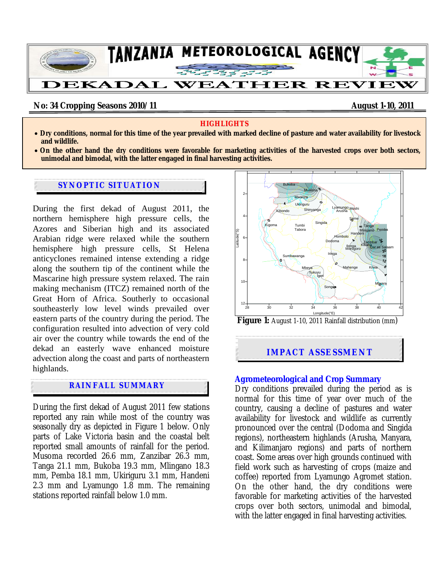

### **No: 34 Cropping Seasons 2010/11 August 1-10, 2011 August 1-10, 2011**

#### **HIGHLIGHTS**

- **Dry conditions, normal for this time of the year prevailed with marked decline of pasture and water availability for livestock and wildlife.**
- **On the other hand the dry conditions were favorable for marketing activities of the harvested crops over both sectors, unimodal and bimodal, with the latter engaged in final harvesting activities.**

#### **SYNOPTIC SITUATION**

During the first dekad of August 2011, the northern hemisphere high pressure cells, the Azores and Siberian high and its associated Arabian ridge were relaxed while the southern hemisphere high pressure cells, St Helena anticyclones remained intense extending a ridge along the southern tip of the continent while the Mascarine high pressure system relaxed. The rain making mechanism (ITCZ) remained north of the Great Horn of Africa. Southerly to occasional southeasterly low level winds prevailed over eastern parts of the country during the period. The configuration resulted into advection of very cold air over the country while towards the end of the dekad an easterly wave enhanced moisture advection along the coast and parts of northeastern highlands.

## **RAINFALL SUMMARY**

l

During the first dekad of August 2011 few stations reported any rain while most of the country was seasonally dry as depicted in Figure 1 below. Only parts of Lake Victoria basin and the coastal belt reported small amounts of rainfall for the period. Musoma recorded 26.6 mm, Zanzibar 26.3 mm, Tanga 21.1 mm, Bukoba 19.3 mm, Mlingano 18.3 mm, Pemba 18.1 mm, Ukiriguru 3.1 mm, Handeni 2.3 mm and Lyamungo 1.8 mm. The remaining stations reported rainfall below 1.0 mm.



**Figure 1:** August 1-10, 2011 Rainfall distribution (mm)

## **IMPACT ASSESSMENT**

### **Agrometeorological and Crop Summary**

Dry conditions prevailed during the period as is normal for this time of year over much of the country, causing a decline of pastures and water availability for livestock and wildlife as currently pronounced over the central (Dodoma and Singida regions), northeastern highlands (Arusha, Manyara, and Kilimanjaro regions) and parts of northern coast. Some areas over high grounds continued with field work such as harvesting of crops (maize and coffee) reported from Lyamungo Agromet station. On the other hand, the dry conditions were favorable for marketing activities of the harvested crops over both sectors, unimodal and bimodal, with the latter engaged in final harvesting activities.